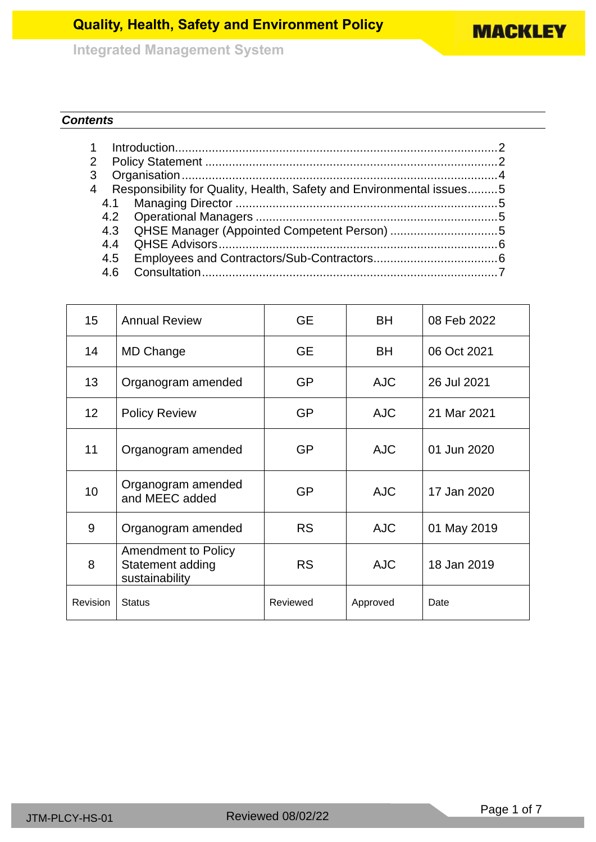**MACKLEY** 

**Integrated Management System**

## *Contents*

| $\overline{2}$ |     |                                                                      |  |  |  |  |
|----------------|-----|----------------------------------------------------------------------|--|--|--|--|
| 3              |     |                                                                      |  |  |  |  |
| $\overline{4}$ |     | Responsibility for Quality, Health, Safety and Environmental issues5 |  |  |  |  |
|                | 4.1 |                                                                      |  |  |  |  |
|                |     |                                                                      |  |  |  |  |
|                |     | 4.3 QHSE Manager (Appointed Competent Person) 5                      |  |  |  |  |
|                | 44  |                                                                      |  |  |  |  |
|                |     |                                                                      |  |  |  |  |
|                | 4.6 |                                                                      |  |  |  |  |

| 15              | <b>Annual Review</b>                                             | <b>GE</b> | <b>BH</b>  | 08 Feb 2022 |
|-----------------|------------------------------------------------------------------|-----------|------------|-------------|
| 14              | MD Change                                                        | <b>GE</b> | <b>BH</b>  | 06 Oct 2021 |
| 13              | Organogram amended                                               | <b>GP</b> | <b>AJC</b> | 26 Jul 2021 |
| 12 <sub>2</sub> | <b>Policy Review</b>                                             | <b>GP</b> | <b>AJC</b> | 21 Mar 2021 |
| 11              | Organogram amended                                               | <b>GP</b> | <b>AJC</b> | 01 Jun 2020 |
| 10              | Organogram amended<br>and MEEC added                             | <b>GP</b> | <b>AJC</b> | 17 Jan 2020 |
| 9               | Organogram amended                                               | <b>RS</b> | <b>AJC</b> | 01 May 2019 |
| 8               | <b>Amendment to Policy</b><br>Statement adding<br>sustainability | <b>RS</b> | <b>AJC</b> | 18 Jan 2019 |
| <b>Revision</b> | <b>Status</b>                                                    | Reviewed  | Approved   | Date        |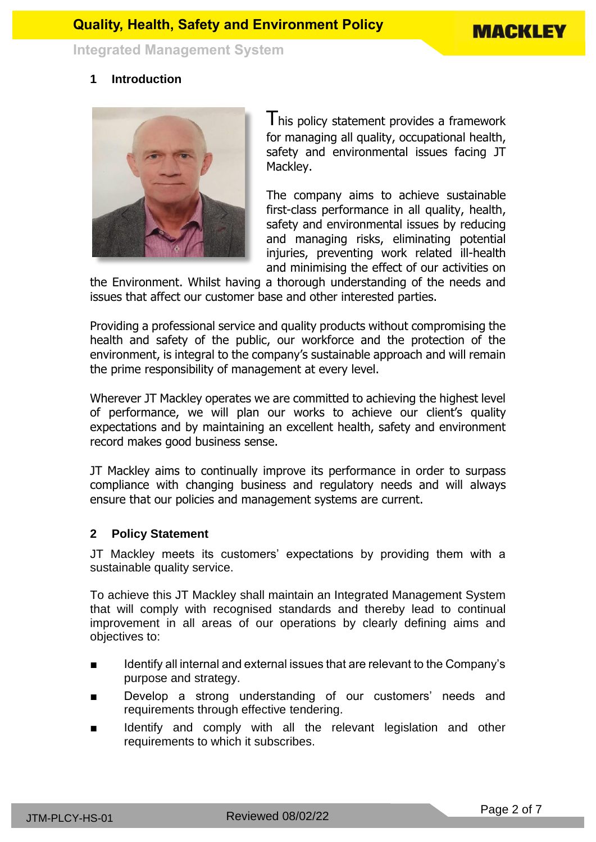

## <span id="page-1-0"></span>**1 Introduction**



I his policy statement provides a framework for managing all quality, occupational health, safety and environmental issues facing JT Mackley.

The company aims to achieve sustainable first-class performance in all quality, health, safety and environmental issues by reducing and managing risks, eliminating potential injuries, preventing work related ill-health and minimising the effect of our activities on

the Environment. Whilst having a thorough understanding of the needs and issues that affect our customer base and other interested parties.

Providing a professional service and quality products without compromising the health and safety of the public, our workforce and the protection of the environment, is integral to the company's sustainable approach and will remain the prime responsibility of management at every level.

Wherever JT Mackley operates we are committed to achieving the highest level of performance, we will plan our works to achieve our client's quality expectations and by maintaining an excellent health, safety and environment record makes good business sense.

JT Mackley aims to continually improve its performance in order to surpass compliance with changing business and regulatory needs and will always ensure that our policies and management systems are current.

#### <span id="page-1-1"></span>**2 Policy Statement**

JT Mackley meets its customers' expectations by providing them with a sustainable quality service.

To achieve this JT Mackley shall maintain an Integrated Management System that will comply with recognised standards and thereby lead to continual improvement in all areas of our operations by clearly defining aims and objectives to:

- Identify all internal and external issues that are relevant to the Company's purpose and strategy.
- Develop a strong understanding of our customers' needs and requirements through effective tendering.
- Identify and comply with all the relevant legislation and other requirements to which it subscribes.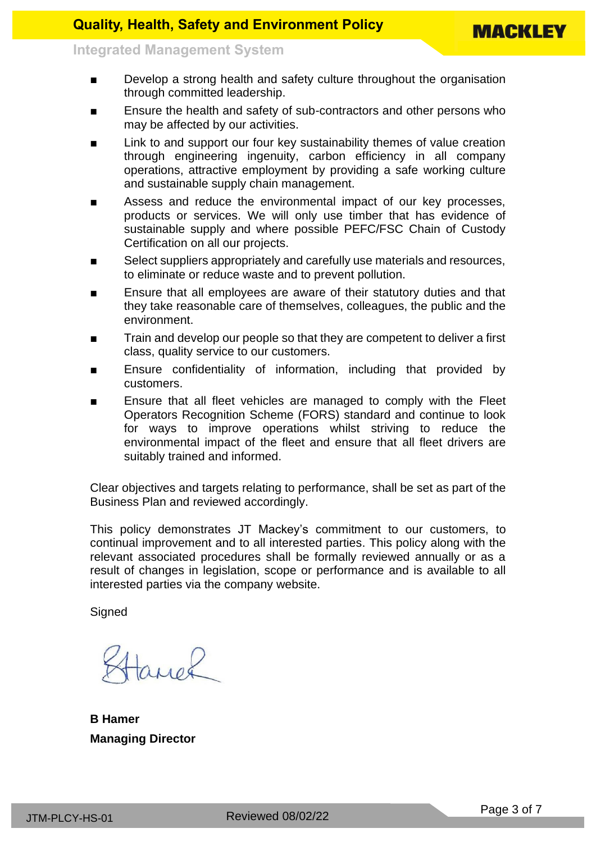- Develop a strong health and safety culture throughout the organisation through committed leadership.
- Ensure the health and safety of sub-contractors and other persons who may be affected by our activities.
- Link to and support our four key sustainability themes of value creation through engineering ingenuity, carbon efficiency in all company operations, attractive employment by providing a safe working culture and sustainable supply chain management.
- Assess and reduce the environmental impact of our key processes, products or services. We will only use timber that has evidence of sustainable supply and where possible PEFC/FSC Chain of Custody Certification on all our projects.
- Select suppliers appropriately and carefully use materials and resources, to eliminate or reduce waste and to prevent pollution.
- Ensure that all employees are aware of their statutory duties and that they take reasonable care of themselves, colleagues, the public and the environment.
- Train and develop our people so that they are competent to deliver a first class, quality service to our customers.
- Ensure confidentiality of information, including that provided by customers.
- Ensure that all fleet vehicles are managed to comply with the Fleet Operators Recognition Scheme (FORS) standard and continue to look for ways to improve operations whilst striving to reduce the environmental impact of the fleet and ensure that all fleet drivers are suitably trained and informed.

Clear objectives and targets relating to performance, shall be set as part of the Business Plan and reviewed accordingly.

This policy demonstrates JT Mackey's commitment to our customers, to continual improvement and to all interested parties. This policy along with the relevant associated procedures shall be formally reviewed annually or as a result of changes in legislation, scope or performance and is available to all interested parties via the company website.

**Signed** 

Hanol

<span id="page-2-0"></span>**B Hamer Managing Director**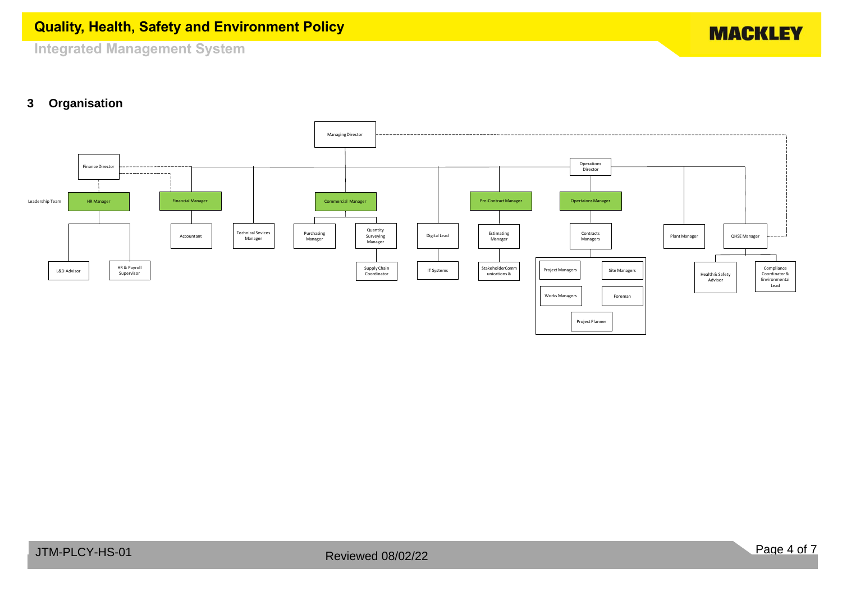**MACKLEY** 

**Integrated Management System**

# **3 Organisation**

<span id="page-3-0"></span>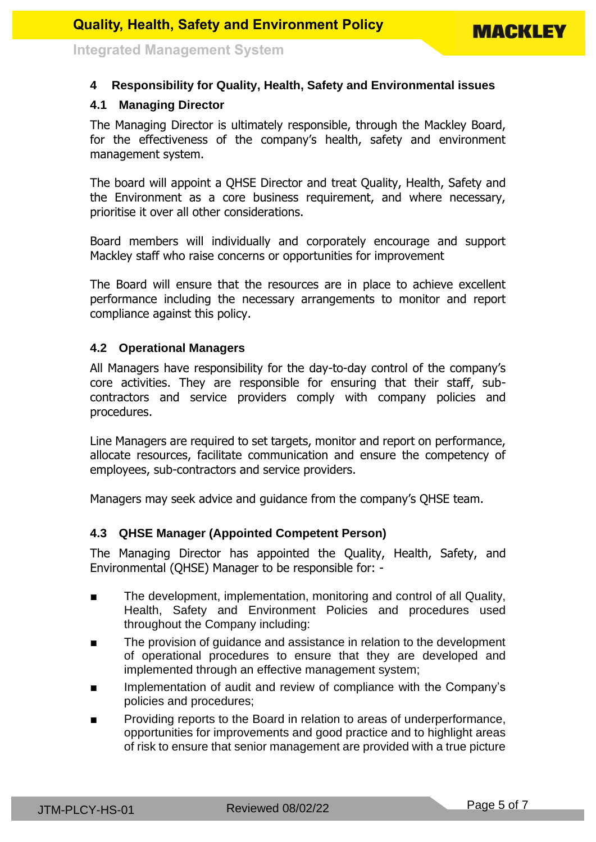### **4 Responsibility for Quality, Health, Safety and Environmental issues**

### <span id="page-4-0"></span>**4.1 Managing Director**

The Managing Director is ultimately responsible, through the Mackley Board, for the effectiveness of the company's health, safety and environment management system.

The board will appoint a QHSE Director and treat Quality, Health, Safety and the Environment as a core business requirement, and where necessary, prioritise it over all other considerations.

Board members will individually and corporately encourage and support Mackley staff who raise concerns or opportunities for improvement

The Board will ensure that the resources are in place to achieve excellent performance including the necessary arrangements to monitor and report compliance against this policy.

#### <span id="page-4-1"></span>**4.2 Operational Managers**

All Managers have responsibility for the day-to-day control of the company's core activities. They are responsible for ensuring that their staff, subcontractors and service providers comply with company policies and procedures.

Line Managers are required to set targets, monitor and report on performance, allocate resources, facilitate communication and ensure the competency of employees, sub-contractors and service providers.

Managers may seek advice and guidance from the company's QHSE team.

#### <span id="page-4-2"></span>**4.3 QHSE Manager (Appointed Competent Person)**

The Managing Director has appointed the Quality, Health, Safety, and Environmental (QHSE) Manager to be responsible for: -

- The development, implementation, monitoring and control of all Quality, Health, Safety and Environment Policies and procedures used throughout the Company including:
- The provision of guidance and assistance in relation to the development of operational procedures to ensure that they are developed and implemented through an effective management system;
- Implementation of audit and review of compliance with the Company's policies and procedures;
- Providing reports to the Board in relation to areas of underperformance, opportunities for improvements and good practice and to highlight areas of risk to ensure that senior management are provided with a true picture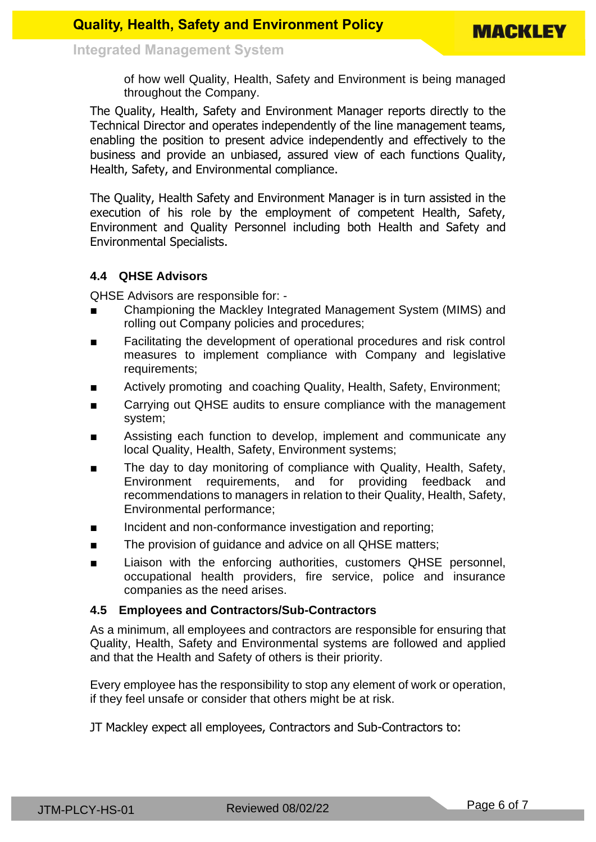of how well Quality, Health, Safety and Environment is being managed throughout the Company.

The Quality, Health, Safety and Environment Manager reports directly to the Technical Director and operates independently of the line management teams, enabling the position to present advice independently and effectively to the business and provide an unbiased, assured view of each functions Quality, Health, Safety, and Environmental compliance.

The Quality, Health Safety and Environment Manager is in turn assisted in the execution of his role by the employment of competent Health, Safety, Environment and Quality Personnel including both Health and Safety and Environmental Specialists.

## <span id="page-5-0"></span>**4.4 QHSE Advisors**

QHSE Advisors are responsible for: -

- Championing the Mackley Integrated Management System (MIMS) and rolling out Company policies and procedures;
- Facilitating the development of operational procedures and risk control measures to implement compliance with Company and legislative requirements;
- Actively promoting and coaching Quality, Health, Safety, Environment;
- Carrying out QHSE audits to ensure compliance with the management system;
- Assisting each function to develop, implement and communicate any local Quality, Health, Safety, Environment systems;
- The day to day monitoring of compliance with Quality, Health, Safety, Environment requirements, and for providing feedback and recommendations to managers in relation to their Quality, Health, Safety, Environmental performance;
- Incident and non-conformance investigation and reporting;
- The provision of quidance and advice on all QHSE matters;
- Liaison with the enforcing authorities, customers QHSE personnel, occupational health providers, fire service, police and insurance companies as the need arises.

#### <span id="page-5-1"></span>**4.5 Employees and Contractors/Sub-Contractors**

As a minimum, all employees and contractors are responsible for ensuring that Quality, Health, Safety and Environmental systems are followed and applied and that the Health and Safety of others is their priority.

Every employee has the responsibility to stop any element of work or operation, if they feel unsafe or consider that others might be at risk.

JT Mackley expect all employees, Contractors and Sub-Contractors to: